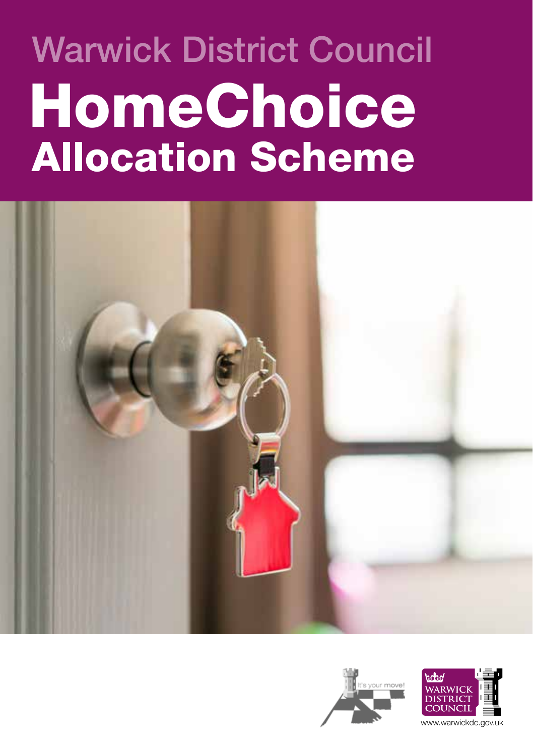# Warwick District Council HomeChoice Allocation Scheme







www.warwickdc.gov.uk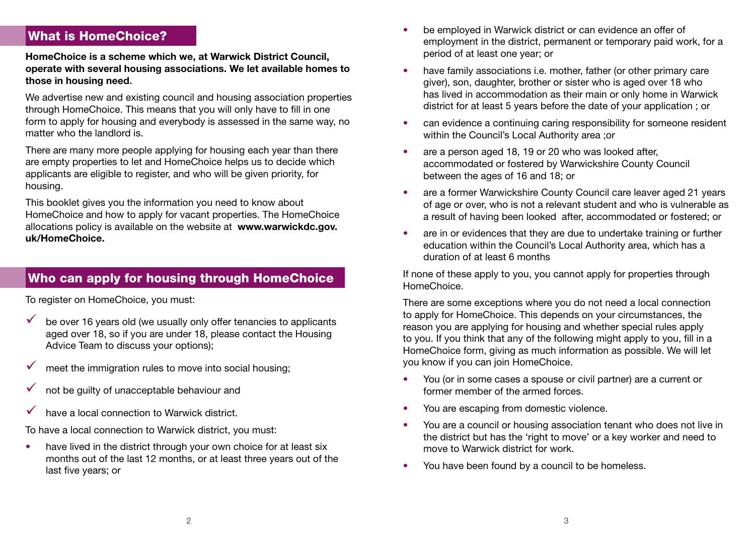#### What is HomeChoice?

**HomeChoice is a scheme which we, at Warwick District Council, operate with several housing associations. We let available homes to those in housing need**.

We advertise new and existing council and housing association properties through HomeChoice. This means that you will only have to fill in one form to apply for housing and everybody is assessed in the same way, no matter who the landlord is.

There are many more people applying for housing each year than there are empty properties to let and HomeChoice helps us to decide which applicants are eligible to register, and who will be given priority, for housing.

This booklet gives you the information you need to know about HomeChoice and how to apply for vacant properties. The HomeChoice allocations policy is available on the website at **www.warwickdc.gov. uk/HomeChoice.**

## Who can apply for housing through HomeChoice

To register on HomeChoice, you must:

- $\checkmark$  be over 16 years old (we usually only offer tenancies to applicants aged over 18, so if you are under 18, please contact the Housing Advice Team to discuss your options);
- meet the immigration rules to move into social housing;
- not be guilty of unacceptable behaviour and
- have a local connection to Warwick district.

To have a local connection to Warwick district, you must:

• have lived in the district through your own choice for at least six months out of the last 12 months, or at least three years out of the last five years; or

- be employed in Warwick district or can evidence an offer of employment in the district, permanent or temporary paid work, for a period of at least one year; or
- have family associations i.e. mother, father (or other primary care giver), son, daughter, brother or sister who is aged over 18 who has lived in accommodation as their main or only home in Warwick district for at least 5 years before the date of your application ; or
- can evidence a continuing caring responsibility for someone resident within the Council's Local Authority area ;or
- are a person aged 18, 19 or 20 who was looked after, accommodated or fostered by Warwickshire County Council between the ages of 16 and 18; or
- are a former Warwickshire County Council care leaver aged 21 years of age or over, who is not a relevant student and who is vulnerable as a result of having been looked after, accommodated or fostered; or
- are in or evidences that they are due to undertake training or further education within the Council's Local Authority area, which has a duration of at least 6 months

If none of these apply to you, you cannot apply for properties through HomeChoice.

There are some exceptions where you do not need a local connection to apply for HomeChoice. This depends on your circumstances, the reason you are applying for housing and whether special rules apply to you. If you think that any of the following might apply to you, fill in a HomeChoice form, giving as much information as possible. We will let you know if you can join HomeChoice.

- You (or in some cases a spouse or civil partner) are a current or former member of the armed forces.
- You are escaping from domestic violence.
- You are a council or housing association tenant who does not live in the district but has the 'right to move' or a key worker and need to move to Warwick district for work.
- You have been found by a council to be homeless.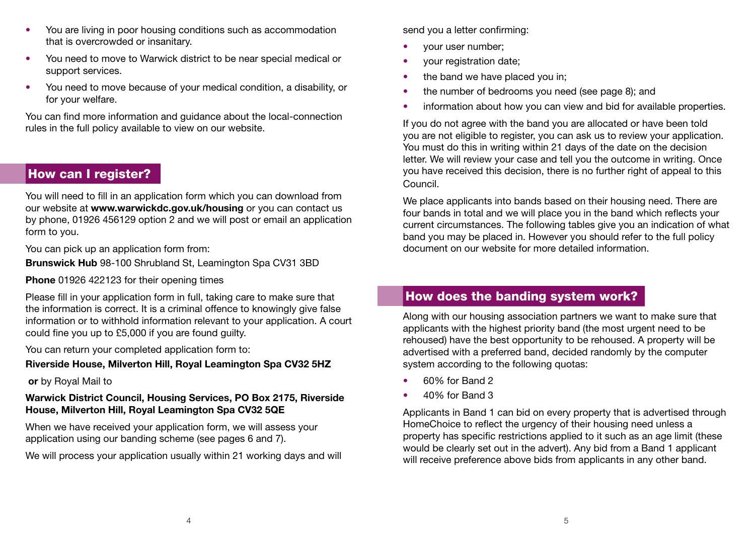- You are living in poor housing conditions such as accommodation that is overcrowded or insanitary.
- You need to move to Warwick district to be near special medical or support services.
- You need to move because of your medical condition, a disability, or for your welfare.

You can find more information and guidance about the local-connection rules in the full policy available to view on our website.

## How can I register?

You will need to fill in an application form which you can download from our website at **www.warwickdc.gov.uk/housing** or you can contact us by phone, 01926 456129 option 2 and we will post or email an application form to you.

You can pick up an application form from:

**Brunswick Hub** 98-100 Shrubland St, Leamington Spa CV31 3BD

**Phone** 01926 422123 for their opening times

Please fill in your application form in full, taking care to make sure that the information is correct. It is a criminal offence to knowingly give false information or to withhold information relevant to your application. A court could fine you up to £5,000 if you are found guilty.

You can return your completed application form to:

#### **Riverside House, Milverton Hill, Royal Leamington Spa CV32 5HZ**

 **or** by Royal Mail to

#### **Warwick District Council, Housing Services, PO Box 2175, Riverside House, Milverton Hill, Royal Leamington Spa CV32 5QE**

When we have received your application form, we will assess your application using our banding scheme (see pages 6 and 7).

We will process your application usually within 21 working days and will

send you a letter confirming:

- your user number;
- your registration date;
- the band we have placed you in;
- the number of bedrooms you need (see page 8); and
- information about how you can view and bid for available properties.

If you do not agree with the band you are allocated or have been told you are not eligible to register, you can ask us to review your application. You must do this in writing within 21 days of the date on the decision letter. We will review your case and tell you the outcome in writing. Once you have received this decision, there is no further right of appeal to this Council.

We place applicants into bands based on their housing need. There are four bands in total and we will place you in the band which reflects your current circumstances. The following tables give you an indication of what band you may be placed in. However you should refer to the full policy document on our website for more detailed information.

# How does the banding system work?

Along with our housing association partners we want to make sure that applicants with the highest priority band (the most urgent need to be rehoused) have the best opportunity to be rehoused. A property will be advertised with a preferred band, decided randomly by the computer system according to the following quotas:

- 60% for Band 2
- 40% for Band 3

Applicants in Band 1 can bid on every property that is advertised through HomeChoice to reflect the urgency of their housing need unless a property has specific restrictions applied to it such as an age limit (these would be clearly set out in the advert). Any bid from a Band 1 applicant will receive preference above bids from applicants in any other band.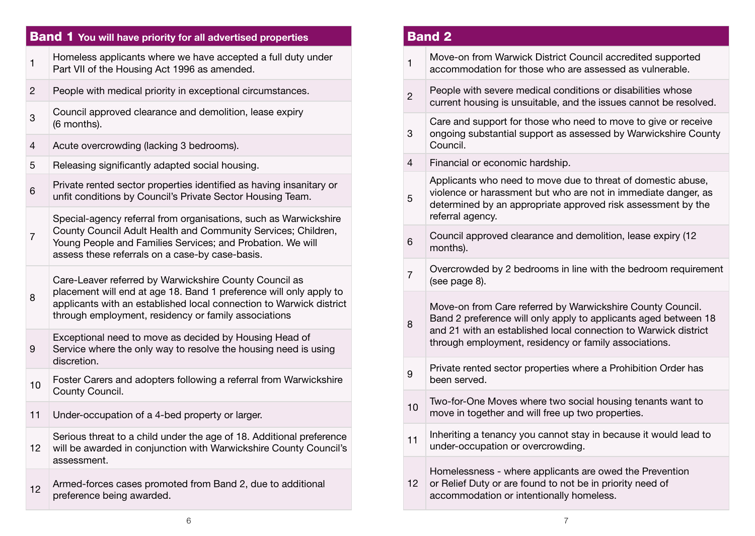#### Band 1 **You will have priority for all advertised properties** 1 Homeless applicants where we have accepted a full duty under Part VII of the Housing Act 1996 as amended. 2 People with medical priority in exceptional circumstances. 3 Council approved clearance and demolition, lease expiry (6 months). 4 Acute overcrowding (lacking 3 bedrooms). 5 Releasing significantly adapted social housing. **6** Private rented sector properties identified as having insanitary or unfit conditions by Council's Private Sector Housing Team. 7 Special-agency referral from organisations, such as Warwickshire County Council Adult Health and Community Services; Children, Young People and Families Services; and Probation. We will assess these referrals on a case-by case-basis. 8 Care-Leaver referred by Warwickshire County Council as placement will end at age 18. Band 1 preference will only apply to applicants with an established local connection to Warwick district through employment, residency or family associations 9 Exceptional need to move as decided by Housing Head of Service where the only way to resolve the housing need is using discretion. 10 Foster Carers and adopters following a referral from Warwickshire County Council. 11 Under-occupation of a 4-bed property or larger. 12 Serious threat to a child under the age of 18. Additional preference will be awarded in conjunction with Warwickshire County Council's assessment. 12 Armed-forces cases promoted from Band 2, due to additional preference being awarded. 3 5 8

## Band 2 1 Move-on from Warwick District Council accredited supported accommodation for those who are assessed as vulnerable.  $2<sub>2</sub>$  People with severe medical conditions or disabilities whose current housing is unsuitable, and the issues cannot be resolved. Care and support for those who need to move to give or receive ongoing substantial support as assessed by Warwickshire County Council. 4 Financial or economic hardship. Applicants who need to move due to threat of domestic abuse, violence or harassment but who are not in immediate danger, as determined by an appropriate approved risk assessment by the referral agency. 6 Council approved clearance and demolition, lease expiry (12 months).  $7$  Overcrowded by 2 bedrooms in line with the bedroom requirement (see page 8). Move-on from Care referred by Warwickshire County Council. Band 2 preference will only apply to applicants aged between 18 and 21 with an established local connection to Warwick district through employment, residency or family associations. 9 Private rented sector properties where a Prohibition Order has been served. 10 Two-for-One Moves where two social housing tenants want to move in together and will free up two properties. 11 Inheriting a tenancy you cannot stay in because it would lead to under-occupation or overcrowding. Homelessness - where applicants are owed the Prevention

12 or Relief Duty or are found to not be in priority need of accommodation or intentionally homeless.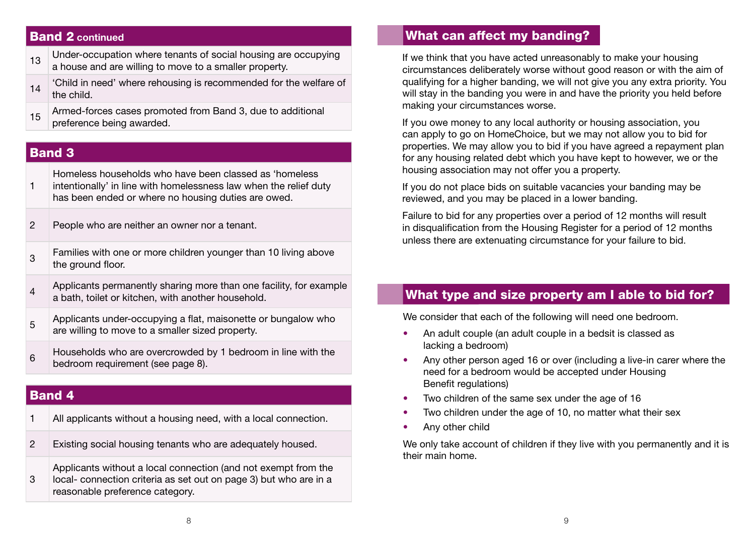#### Band 2 **continued**

- $_{13}$  Under-occupation where tenants of social housing are occupying a house and are willing to move to a smaller property.
- 14 Child in need' where rehousing is recommended for the welfare of the child.
- 15 Armed-forces cases promoted from Band 3, due to additional preference being awarded.

#### Band 3

1 Homeless households who have been classed as 'homeless intentionally' in line with homelessness law when the relief duty has been ended or where no housing duties are owed.

- 2 People who are neither an owner nor a tenant.
- <sup>3</sup> Families with one or more children younger than 10 living above the ground floor.
- $4$  Applicants permanently sharing more than one facility, for example a bath, toilet or kitchen, with another household.
- 5 Applicants under-occupying a flat, maisonette or bungalow who are willing to move to a smaller sized property.
- 6 Households who are overcrowded by 1 bedroom in line with the bedroom requirement (see page 8).

#### Band 4

- 1 All applicants without a housing need, with a local connection.
- 2 Existing social housing tenants who are adequately housed.

3 Applicants without a local connection (and not exempt from the local- connection criteria as set out on page 3) but who are in a reasonable preference category.

#### What can affect my banding?

If we think that you have acted unreasonably to make your housing circumstances deliberately worse without good reason or with the aim of qualifying for a higher banding, we will not give you any extra priority. You will stay in the banding you were in and have the priority you held before making your circumstances worse.

If you owe money to any local authority or housing association, you can apply to go on HomeChoice, but we may not allow you to bid for properties. We may allow you to bid if you have agreed a repayment plan for any housing related debt which you have kept to however, we or the housing association may not offer you a property.

If you do not place bids on suitable vacancies your banding may be reviewed, and you may be placed in a lower banding.

Failure to bid for any properties over a period of 12 months will result in disqualification from the Housing Register for a period of 12 months unless there are extenuating circumstance for your failure to bid.

#### What type and size property am I able to bid for?

We consider that each of the following will need one bedroom.

- An adult couple (an adult couple in a bedsit is classed as lacking a bedroom)
- Any other person aged 16 or over (including a live-in carer where the need for a bedroom would be accepted under Housing Benefit regulations)
- Two children of the same sex under the age of 16
- Two children under the age of 10, no matter what their sex
- Any other child

We only take account of children if they live with you permanently and it is their main home.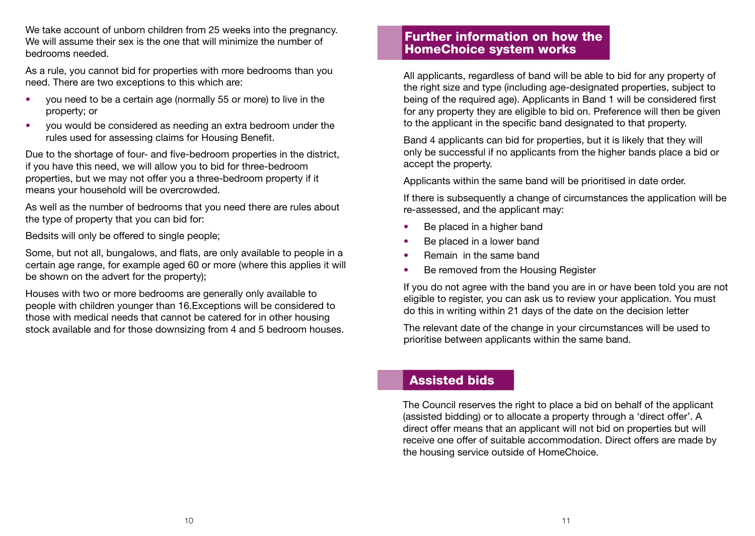We take account of unborn children from 25 weeks into the pregnancy. We will assume their sex is the one that will minimize the number of bedrooms needed.

As a rule, you cannot bid for properties with more bedrooms than you need. There are two exceptions to this which are:

- you need to be a certain age (normally 55 or more) to live in the property; or
- you would be considered as needing an extra bedroom under the rules used for assessing claims for Housing Benefit.

Due to the shortage of four- and five-bedroom properties in the district, if you have this need, we will allow you to bid for three-bedroom properties, but we may not offer you a three-bedroom property if it means your household will be overcrowded.

As well as the number of bedrooms that you need there are rules about the type of property that you can bid for:

Bedsits will only be offered to single people;

Some, but not all, bungalows, and flats, are only available to people in a certain age range, for example aged 60 or more (where this applies it will be shown on the advert for the property);

Houses with two or more bedrooms are generally only available to people with children younger than 16.Exceptions will be considered to those with medical needs that cannot be catered for in other housing stock available and for those downsizing from 4 and 5 bedroom houses.

#### Further information on how the HomeChoice system works

All applicants, regardless of band will be able to bid for any property of the right size and type (including age-designated properties, subject to being of the required age). Applicants in Band 1 will be considered first for any property they are eligible to bid on. Preference will then be given to the applicant in the specific band designated to that property.

Band 4 applicants can bid for properties, but it is likely that they will only be successful if no applicants from the higher bands place a bid or accept the property.

Applicants within the same band will be prioritised in date order.

If there is subsequently a change of circumstances the application will be re-assessed, and the applicant may:

- Be placed in a higher band
- Be placed in a lower band
- Remain in the same band
- Be removed from the Housing Register

If you do not agree with the band you are in or have been told you are not eligible to register, you can ask us to review your application. You must do this in writing within 21 days of the date on the decision letter

The relevant date of the change in your circumstances will be used to prioritise between applicants within the same band.

#### Assisted bids

The Council reserves the right to place a bid on behalf of the applicant (assisted bidding) or to allocate a property through a 'direct offer'. A direct offer means that an applicant will not bid on properties but will receive one offer of suitable accommodation. Direct offers are made by the housing service outside of HomeChoice.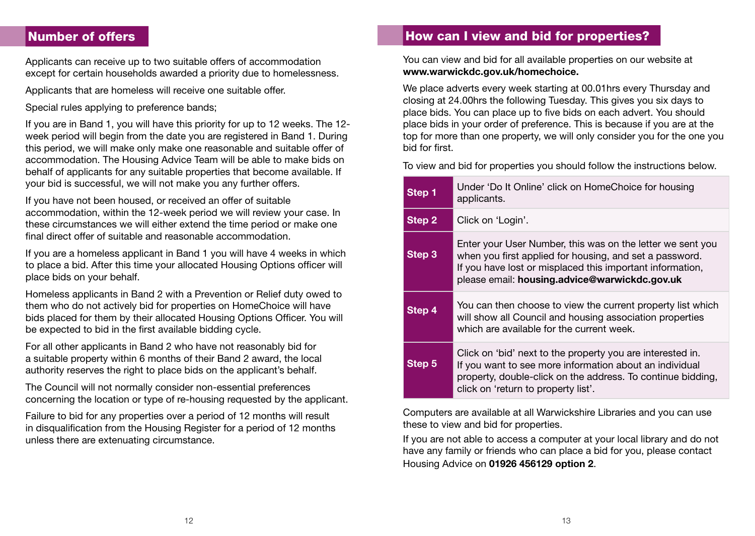## Number of offers

Applicants can receive up to two suitable offers of accommodation except for certain households awarded a priority due to homelessness.

Applicants that are homeless will receive one suitable offer.

Special rules applying to preference bands:

If you are in Band 1, you will have this priority for up to 12 weeks. The 12 week period will begin from the date you are registered in Band 1. During this period, we will make only make one reasonable and suitable offer of accommodation. The Housing Advice Team will be able to make bids on behalf of applicants for any suitable properties that become available. If your bid is successful, we will not make you any further offers.

If you have not been housed, or received an offer of suitable accommodation, within the 12-week period we will review your case. In these circumstances we will either extend the time period or make one final direct offer of suitable and reasonable accommodation.

If you are a homeless applicant in Band 1 you will have 4 weeks in which to place a bid. After this time your allocated Housing Options officer will place bids on your behalf.

Homeless applicants in Band 2 with a Prevention or Relief duty owed to them who do not actively bid for properties on HomeChoice will have bids placed for them by their allocated Housing Options Officer. You will be expected to bid in the first available bidding cycle.

For all other applicants in Band 2 who have not reasonably bid for a suitable property within 6 months of their Band 2 award, the local authority reserves the right to place bids on the applicant's behalf.

The Council will not normally consider non-essential preferences concerning the location or type of re-housing requested by the applicant.

Failure to bid for any properties over a period of 12 months will result in disqualification from the Housing Register for a period of 12 months unless there are extenuating circumstance.

#### How can I view and bid for properties?

You can view and bid for all available properties on our website at **www.warwickdc.gov.uk/homechoice.**

We place adverts every week starting at 00.01hrs every Thursday and closing at 24.00hrs the following Tuesday. This gives you six days to place bids. You can place up to five bids on each advert. You should place bids in your order of preference. This is because if you are at the top for more than one property, we will only consider you for the one you bid for first.

To view and bid for properties you should follow the instructions below.

| Step 1 | Under 'Do It Online' click on HomeChoice for housing<br>applicants.                                                                                                                                                                 |
|--------|-------------------------------------------------------------------------------------------------------------------------------------------------------------------------------------------------------------------------------------|
| Step 2 | Click on 'Login'.                                                                                                                                                                                                                   |
| Step 3 | Enter your User Number, this was on the letter we sent you<br>when you first applied for housing, and set a password.<br>If you have lost or misplaced this important information,<br>please email: housing.advice@warwickdc.gov.uk |
| Step 4 | You can then choose to view the current property list which<br>will show all Council and housing association properties<br>which are available for the current week.                                                                |
| Step 5 | Click on 'bid' next to the property you are interested in.<br>If you want to see more information about an individual<br>property, double-click on the address. To continue bidding,<br>click on 'return to property list'.         |

Computers are available at all Warwickshire Libraries and you can use these to view and bid for properties.

If you are not able to access a computer at your local library and do not have any family or friends who can place a bid for you, please contact Housing Advice on **01926 456129 option 2**.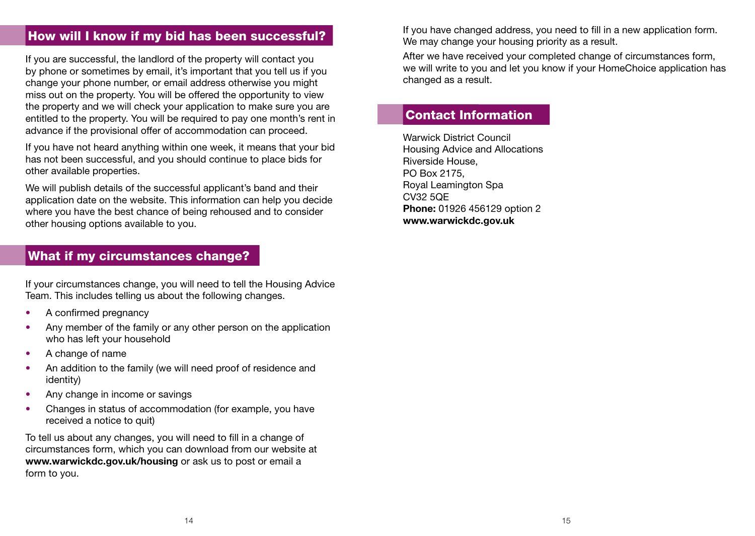## How will I know if my bid has been successful?

If you are successful, the landlord of the property will contact you by phone or sometimes by email, it's important that you tell us if you change your phone number, or email address otherwise you might miss out on the property. You will be offered the opportunity to view the property and we will check your application to make sure you are entitled to the property. You will be required to pay one month's rent in advance if the provisional offer of accommodation can proceed.

If you have not heard anything within one week, it means that your bid has not been successful, and you should continue to place bids for other available properties.

We will publish details of the successful applicant's band and their application date on the website. This information can help you decide where you have the best chance of being rehoused and to consider other housing options available to you.

## What if my circumstances change?

If your circumstances change, you will need to tell the Housing Advice Team. This includes telling us about the following changes.

- A confirmed pregnancy
- Any member of the family or any other person on the application who has left your household
- A change of name
- An addition to the family (we will need proof of residence and identity)
- Any change in income or savings
- Changes in status of accommodation (for example, you have received a notice to quit)

To tell us about any changes, you will need to fill in a change of circumstances form, which you can download from our website at **www.warwickdc.gov.uk/housing** or ask us to post or email a form to you.

If you have changed address, you need to fill in a new application form. We may change your housing priority as a result.

After we have received your completed change of circumstances form, we will write to you and let you know if your HomeChoice application has changed as a result.

#### Contact Information

Warwick District Council Housing Advice and Allocations Riverside House, PO Box 2175, Royal Leamington Spa CV32 5QE **Phone:** 01926 456129 option 2 **www.warwickdc.gov.uk**